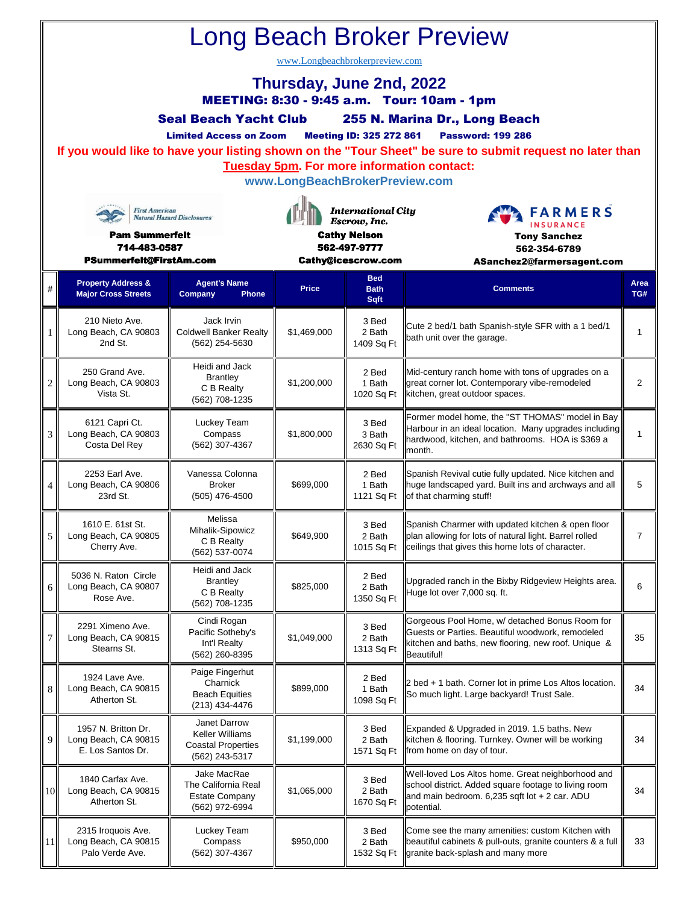| <b>Long Beach Broker Preview</b><br>www.Longbeachbrokerpreview.com<br>Thursday, June 2nd, 2022<br>MEETING: 8:30 - 9:45 a.m. Tour: 10am - 1pm<br><b>Seal Beach Yacht Club</b><br>255 N. Marina Dr., Long Beach<br><b>Meeting ID: 325 272 861</b><br><b>Password: 199 286</b><br><b>Limited Access on Zoom</b><br>If you would like to have your listing shown on the "Tour Sheet" be sure to submit request no later than<br><b>Tuesday 5pm. For more information contact:</b><br>www.LongBeachBrokerPreview.com<br><b>International City</b><br><b>First American</b><br><b>FARMERS</b><br><b>Natural Hazard Disclosures</b><br>Escrow, Inc.<br><b>INSURANCE</b> |                                                                  |                                                                                |                                                           |                                   |                                                                                                                                                                                |                |  |  |  |  |  |
|------------------------------------------------------------------------------------------------------------------------------------------------------------------------------------------------------------------------------------------------------------------------------------------------------------------------------------------------------------------------------------------------------------------------------------------------------------------------------------------------------------------------------------------------------------------------------------------------------------------------------------------------------------------|------------------------------------------------------------------|--------------------------------------------------------------------------------|-----------------------------------------------------------|-----------------------------------|--------------------------------------------------------------------------------------------------------------------------------------------------------------------------------|----------------|--|--|--|--|--|
| <b>Pam Summerfelt</b><br>714-483-0587<br>PSummerfelt@FirstAm.com                                                                                                                                                                                                                                                                                                                                                                                                                                                                                                                                                                                                 |                                                                  |                                                                                | <b>Cathy Nelson</b><br>562-497-9777<br>Cathy@icescrow.com |                                   | <b>Tony Sanchez</b><br>562-354-6789<br>ASanchez2@farmersagent.com                                                                                                              |                |  |  |  |  |  |
| $\#$                                                                                                                                                                                                                                                                                                                                                                                                                                                                                                                                                                                                                                                             | <b>Property Address &amp;</b><br><b>Major Cross Streets</b>      | <b>Agent's Name</b><br>Company<br>Phone                                        | <b>Price</b>                                              | <b>Bed</b><br><b>Bath</b><br>Sqft | <b>Comments</b>                                                                                                                                                                | Area<br>TG#    |  |  |  |  |  |
| 1                                                                                                                                                                                                                                                                                                                                                                                                                                                                                                                                                                                                                                                                | 210 Nieto Ave.<br>Long Beach, CA 90803<br>2nd St.                | Jack Irvin<br><b>Coldwell Banker Realty</b><br>(562) 254-5630                  | \$1,469,000                                               | 3 Bed<br>2 Bath<br>1409 Sq Ft     | Cute 2 bed/1 bath Spanish-style SFR with a 1 bed/1<br>bath unit over the garage.                                                                                               | 1              |  |  |  |  |  |
| $\overline{c}$                                                                                                                                                                                                                                                                                                                                                                                                                                                                                                                                                                                                                                                   | 250 Grand Ave.<br>Long Beach, CA 90803<br>Vista St.              | Heidi and Jack<br><b>Brantley</b><br>C B Realty<br>(562) 708-1235              | \$1,200,000                                               | 2 Bed<br>1 Bath<br>1020 Sq Ft     | Mid-century ranch home with tons of upgrades on a<br>great corner lot. Contemporary vibe-remodeled<br>kitchen, great outdoor spaces.                                           | $\overline{2}$ |  |  |  |  |  |
| 3                                                                                                                                                                                                                                                                                                                                                                                                                                                                                                                                                                                                                                                                | 6121 Capri Ct.<br>Long Beach, CA 90803<br>Costa Del Rey          | Luckey Team<br>Compass<br>(562) 307-4367                                       | \$1,800,000                                               | 3 Bed<br>3 Bath<br>2630 Sq Ft     | Former model home, the "ST THOMAS" model in Bay<br>Harbour in an ideal location. Many upgrades including<br>hardwood, kitchen, and bathrooms. HOA is \$369 a<br>month.         | $\mathbf{1}$   |  |  |  |  |  |
| 4                                                                                                                                                                                                                                                                                                                                                                                                                                                                                                                                                                                                                                                                | 2253 Earl Ave.<br>Long Beach, CA 90806<br>23rd St.               | Vanessa Colonna<br><b>Broker</b><br>(505) 476-4500                             | \$699,000                                                 | 2 Bed<br>1 Bath<br>1121 Sq Ft     | Spanish Revival cutie fully updated. Nice kitchen and<br>huge landscaped yard. Built ins and archways and all<br>of that charming stuff!                                       | 5              |  |  |  |  |  |
| 5                                                                                                                                                                                                                                                                                                                                                                                                                                                                                                                                                                                                                                                                | 1610 E. 61st St.<br>Long Beach, CA 90805<br>Cherry Ave.          | Melissa<br>Mihalik-Sipowicz<br>C B Realty<br>(562) 537-0074                    | \$649,900                                                 | 3 Bed<br>2 Bath<br>1015 Sq Ft     | Spanish Charmer with updated kitchen & open floor<br>plan allowing for lots of natural light. Barrel rolled<br>ceilings that gives this home lots of character.                | $\overline{7}$ |  |  |  |  |  |
| 6                                                                                                                                                                                                                                                                                                                                                                                                                                                                                                                                                                                                                                                                | 5036 N. Raton Circle<br>Long Beach, CA 90807<br>Rose Ave.        | Heidi and Jack<br><b>Brantley</b><br>C B Realty<br>(562) 708-1235              | \$825,000                                                 | 2 Bed<br>2 Bath<br>1350 Sq Ft     | Upgraded ranch in the Bixby Ridgeview Heights area.<br>Huge lot over 7,000 sq. ft.                                                                                             | 6              |  |  |  |  |  |
| 7                                                                                                                                                                                                                                                                                                                                                                                                                                                                                                                                                                                                                                                                | 2291 Ximeno Ave.<br>Long Beach, CA 90815<br>Stearns St.          | Cindi Rogan<br>Pacific Sotheby's<br>Int'l Realty<br>(562) 260-8395             | \$1,049,000                                               | 3 Bed<br>2 Bath<br>1313 Sq Ft     | Gorgeous Pool Home, w/ detached Bonus Room for<br>Guests or Parties. Beautiful woodwork, remodeled<br>kitchen and baths, new flooring, new roof. Unique &<br><b>Beautiful!</b> | 35             |  |  |  |  |  |
| 8                                                                                                                                                                                                                                                                                                                                                                                                                                                                                                                                                                                                                                                                | 1924 Lave Ave.<br>Long Beach, CA 90815<br>Atherton St.           | Paige Fingerhut<br>Charnick<br><b>Beach Equities</b><br>(213) 434-4476         | \$899,000                                                 | 2 Bed<br>1 Bath<br>1098 Sq Ft     | 2 bed + 1 bath. Corner lot in prime Los Altos location.<br>So much light. Large backyard! Trust Sale.                                                                          | 34             |  |  |  |  |  |
| 9                                                                                                                                                                                                                                                                                                                                                                                                                                                                                                                                                                                                                                                                | 1957 N. Britton Dr.<br>Long Beach, CA 90815<br>E. Los Santos Dr. | Janet Darrow<br>Keller Williams<br><b>Coastal Properties</b><br>(562) 243-5317 | \$1,199,000                                               | 3 Bed<br>2 Bath<br>1571 Sq Ft     | Expanded & Upgraded in 2019. 1.5 baths. New<br>kitchen & flooring. Turnkey. Owner will be working<br>from home on day of tour.                                                 | 34             |  |  |  |  |  |
| 10                                                                                                                                                                                                                                                                                                                                                                                                                                                                                                                                                                                                                                                               | 1840 Carfax Ave.<br>Long Beach, CA 90815<br>Atherton St.         | Jake MacRae<br>The California Real<br><b>Estate Company</b><br>(562) 972-6994  | \$1,065,000                                               | 3 Bed<br>2 Bath<br>1670 Sq Ft     | Well-loved Los Altos home. Great neighborhood and<br>school district. Added square footage to living room<br>and main bedroom. 6,235 sqft lot + 2 car. ADU<br>potential.       | 34             |  |  |  |  |  |
| <sup>11</sup>                                                                                                                                                                                                                                                                                                                                                                                                                                                                                                                                                                                                                                                    | 2315 Iroquois Ave.<br>Long Beach, CA 90815<br>Palo Verde Ave.    | Luckey Team<br>Compass<br>(562) 307-4367                                       | \$950,000                                                 | 3 Bed<br>2 Bath<br>1532 Sq Ft     | Come see the many amenities: custom Kitchen with<br>beautiful cabinets & pull-outs, granite counters & a full<br>granite back-splash and many more                             | 33             |  |  |  |  |  |